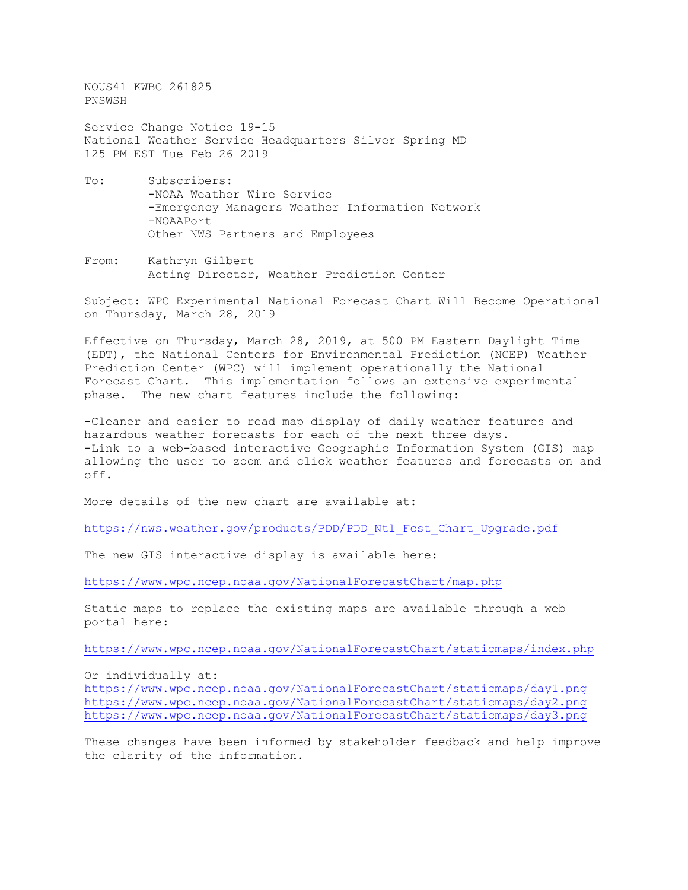NOUS41 KWBC 261825 PNSWSH

Service Change Notice 19-15 National Weather Service Headquarters Silver Spring MD 125 PM EST Tue Feb 26 2019

- To: Subscribers: -NOAA Weather Wire Service -Emergency Managers Weather Information Network -NOAAPort Other NWS Partners and Employees
- From: Kathryn Gilbert Acting Director, Weather Prediction Center

Subject: WPC Experimental National Forecast Chart Will Become Operational on Thursday, March 28, 2019

Effective on Thursday, March 28, 2019, at 500 PM Eastern Daylight Time (EDT), the National Centers for Environmental Prediction (NCEP) Weather Prediction Center (WPC) will implement operationally the National Forecast Chart. This implementation follows an extensive experimental phase. The new chart features include the following:

-Cleaner and easier to read map display of daily weather features and hazardous weather forecasts for each of the next three days. -Link to a web-based interactive Geographic Information System (GIS) map allowing the user to zoom and click weather features and forecasts on and off.

More details of the new chart are available at:

[https://nws.weather.gov/products/PDD/PDD\\_Ntl\\_Fcst\\_Chart\\_Upgrade.pdf](https://nws.weather.gov/products/PDD/PDD_Ntl_Fcst_Chart_Upgrade.pdf)

The new GIS interactive display is available here:

<https://www.wpc.ncep.noaa.gov/NationalForecastChart/map.php>

Static maps to replace the existing maps are available through a web portal here:

<https://www.wpc.ncep.noaa.gov/NationalForecastChart/staticmaps/index.php>

Or individually at:

<https://www.wpc.ncep.noaa.gov/NationalForecastChart/staticmaps/day1.png> <https://www.wpc.ncep.noaa.gov/NationalForecastChart/staticmaps/day2.png> <https://www.wpc.ncep.noaa.gov/NationalForecastChart/staticmaps/day3.png>

These changes have been informed by stakeholder feedback and help improve the clarity of the information.